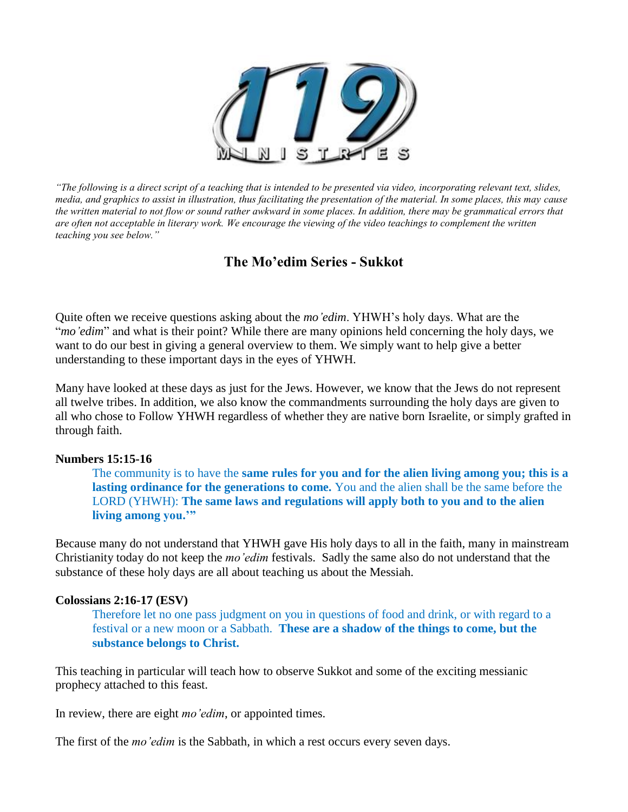

*"The following is a direct script of a teaching that is intended to be presented via video, incorporating relevant text, slides, media, and graphics to assist in illustration, thus facilitating the presentation of the material. In some places, this may cause the written material to not flow or sound rather awkward in some places. In addition, there may be grammatical errors that are often not acceptable in literary work. We encourage the viewing of the video teachings to complement the written teaching you see below."*

# **The Mo'edim Series - Sukkot**

Quite often we receive questions asking about the *mo'edim*. YHWH's holy days. What are the "*mo'edim*" and what is their point? While there are many opinions held concerning the holy days, we want to do our best in giving a general overview to them. We simply want to help give a better understanding to these important days in the eyes of YHWH.

Many have looked at these days as just for the Jews. However, we know that the Jews do not represent all twelve tribes. In addition, we also know the commandments surrounding the holy days are given to all who chose to Follow YHWH regardless of whether they are native born Israelite, or simply grafted in through faith.

## **Numbers 15:15-16**

The community is to have the **same rules for you and for the alien living among you; this is a lasting ordinance for the generations to come.** You and the alien shall be the same before the LORD (YHWH): **The same laws and regulations will apply both to you and to the alien living among you.'"**

Because many do not understand that YHWH gave His holy days to all in the faith, many in mainstream Christianity today do not keep the *mo'edim* festivals. Sadly the same also do not understand that the substance of these holy days are all about teaching us about the Messiah.

## **Colossians 2:16-17 (ESV)**

Therefore let no one pass judgment on you in questions of food and drink, or with regard to a festival or a new moon or a Sabbath. **These are a shadow of the things to come, but the substance belongs to Christ.**

This teaching in particular will teach how to observe Sukkot and some of the exciting messianic prophecy attached to this feast.

In review, there are eight *mo'edim*, or appointed times.

The first of the *mo'edim* is the Sabbath, in which a rest occurs every seven days.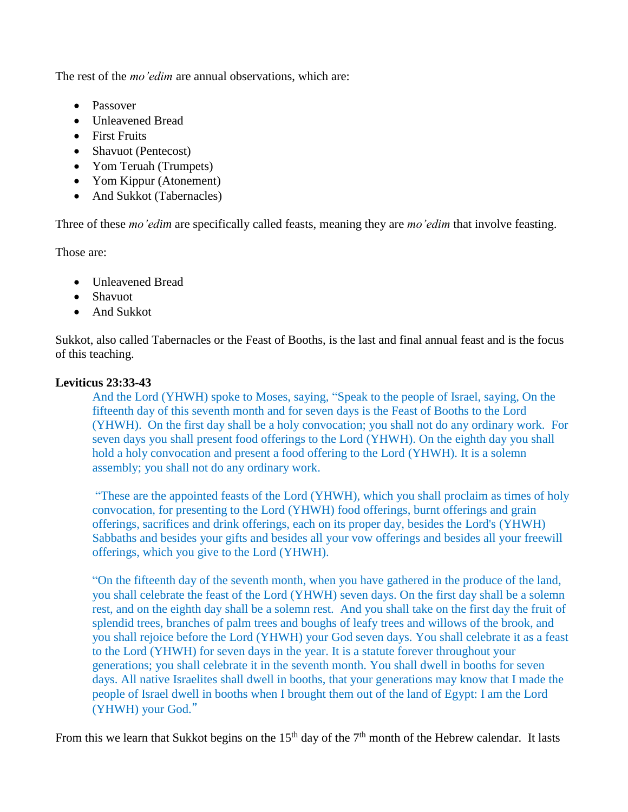The rest of the *mo'edim* are annual observations, which are:

- Passover
- Unleavened Bread
- First Fruits
- Shavuot (Pentecost)
- Yom Teruah (Trumpets)
- Yom Kippur (Atonement)
- And Sukkot (Tabernacles)

Three of these *mo'edim* are specifically called feasts, meaning they are *mo'edim* that involve feasting.

Those are:

- Unleavened Bread
- Shavuot
- And Sukkot

Sukkot, also called Tabernacles or the Feast of Booths, is the last and final annual feast and is the focus of this teaching.

# **Leviticus 23:33-43**

And the Lord (YHWH) spoke to Moses, saying, "Speak to the people of Israel, saying, On the fifteenth day of this seventh month and for seven days is the Feast of Booths to the Lord (YHWH). On the first day shall be a holy convocation; you shall not do any ordinary work. For seven days you shall present food offerings to the Lord (YHWH). On the eighth day you shall hold a holy convocation and present a food offering to the Lord (YHWH). It is a solemn assembly; you shall not do any ordinary work.

"These are the appointed feasts of the Lord (YHWH), which you shall proclaim as times of holy convocation, for presenting to the Lord (YHWH) food offerings, burnt offerings and grain offerings, sacrifices and drink offerings, each on its proper day, besides the Lord's (YHWH) Sabbaths and besides your gifts and besides all your vow offerings and besides all your freewill offerings, which you give to the Lord (YHWH).

"On the fifteenth day of the seventh month, when you have gathered in the produce of the land, you shall celebrate the feast of the Lord (YHWH) seven days. On the first day shall be a solemn rest, and on the eighth day shall be a solemn rest. And you shall take on the first day the fruit of splendid trees, branches of palm trees and boughs of leafy trees and willows of the brook, and you shall rejoice before the Lord (YHWH) your God seven days. You shall celebrate it as a feast to the Lord (YHWH) for seven days in the year. It is a statute forever throughout your generations; you shall celebrate it in the seventh month. You shall dwell in booths for seven days. All native Israelites shall dwell in booths, that your generations may know that I made the people of Israel dwell in booths when I brought them out of the land of Egypt: I am the Lord (YHWH) your God."

From this we learn that Sukkot begins on the 15<sup>th</sup> day of the 7<sup>th</sup> month of the Hebrew calendar. It lasts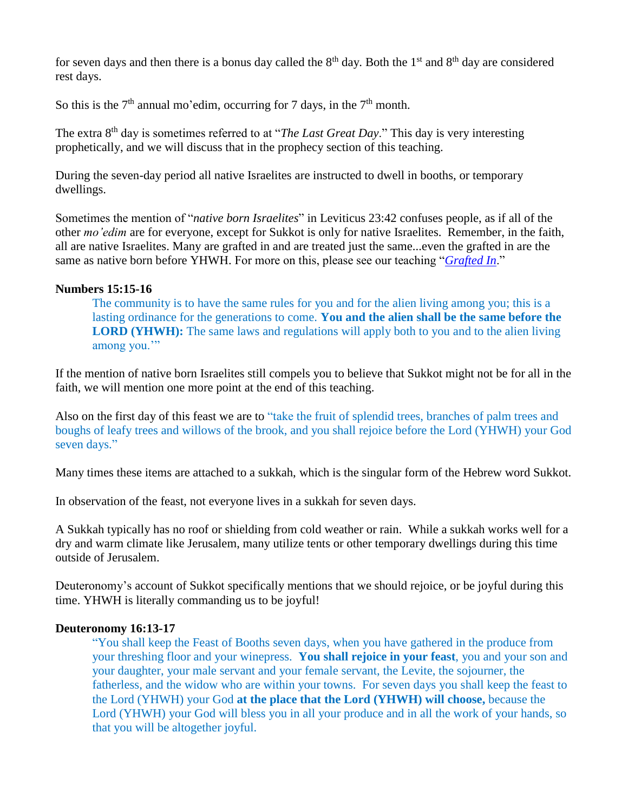for seven days and then there is a bonus day called the  $8<sup>th</sup>$  day. Both the 1<sup>st</sup> and  $8<sup>th</sup>$  day are considered rest days.

So this is the  $7<sup>th</sup>$  annual mo'edim, occurring for 7 days, in the  $7<sup>th</sup>$  month.

The extra 8<sup>th</sup> day is sometimes referred to at "*The Last Great Day*." This day is very interesting prophetically, and we will discuss that in the prophecy section of this teaching.

During the seven-day period all native Israelites are instructed to dwell in booths, or temporary dwellings.

Sometimes the mention of "*native born Israelites*" in Leviticus 23:42 confuses people, as if all of the other *mo'edim* are for everyone, except for Sukkot is only for native Israelites. Remember, in the faith, all are native Israelites. Many are grafted in and are treated just the same...even the grafted in are the same as native born before YHWH. For more on this, please see our teaching "*[Grafted In](http://119ministries.com/grafted-in)*."

## **Numbers 15:15-16**

The community is to have the same rules for you and for the alien living among you; this is a lasting ordinance for the generations to come. **You and the alien shall be the same before the LORD (YHWH):** The same laws and regulations will apply both to you and to the alien living among you.'"

If the mention of native born Israelites still compels you to believe that Sukkot might not be for all in the faith, we will mention one more point at the end of this teaching.

Also on the first day of this feast we are to "take the fruit of splendid trees, branches of palm trees and boughs of leafy trees and willows of the brook, and you shall rejoice before the Lord (YHWH) your God seven days."

Many times these items are attached to a sukkah, which is the singular form of the Hebrew word Sukkot.

In observation of the feast, not everyone lives in a sukkah for seven days.

A Sukkah typically has no roof or shielding from cold weather or rain. While a sukkah works well for a dry and warm climate like Jerusalem, many utilize tents or other temporary dwellings during this time outside of Jerusalem.

Deuteronomy's account of Sukkot specifically mentions that we should rejoice, or be joyful during this time. YHWH is literally commanding us to be joyful!

#### **Deuteronomy 16:13-17**

"You shall keep the Feast of Booths seven days, when you have gathered in the produce from your threshing floor and your winepress. **You shall rejoice in your feast**, you and your son and your daughter, your male servant and your female servant, the Levite, the sojourner, the fatherless, and the widow who are within your towns. For seven days you shall keep the feast to the Lord (YHWH) your God **at the place that the Lord (YHWH) will choose,** because the Lord (YHWH) your God will bless you in all your produce and in all the work of your hands, so that you will be altogether joyful.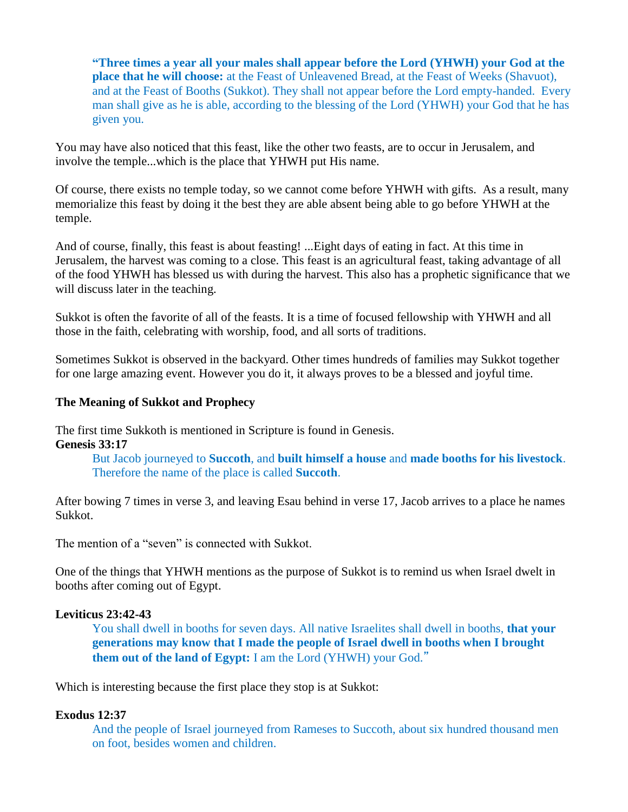**"Three times a year all your males shall appear before the Lord (YHWH) your God at the place that he will choose:** at the Feast of Unleavened Bread, at the Feast of Weeks (Shavuot), and at the Feast of Booths (Sukkot). They shall not appear before the Lord empty-handed. Every man shall give as he is able, according to the blessing of the Lord (YHWH) your God that he has given you.

You may have also noticed that this feast, like the other two feasts, are to occur in Jerusalem, and involve the temple...which is the place that YHWH put His name.

Of course, there exists no temple today, so we cannot come before YHWH with gifts. As a result, many memorialize this feast by doing it the best they are able absent being able to go before YHWH at the temple.

And of course, finally, this feast is about feasting! ...Eight days of eating in fact. At this time in Jerusalem, the harvest was coming to a close. This feast is an agricultural feast, taking advantage of all of the food YHWH has blessed us with during the harvest. This also has a prophetic significance that we will discuss later in the teaching.

Sukkot is often the favorite of all of the feasts. It is a time of focused fellowship with YHWH and all those in the faith, celebrating with worship, food, and all sorts of traditions.

Sometimes Sukkot is observed in the backyard. Other times hundreds of families may Sukkot together for one large amazing event. However you do it, it always proves to be a blessed and joyful time.

## **The Meaning of Sukkot and Prophecy**

The first time Sukkoth is mentioned in Scripture is found in Genesis. **Genesis 33:17** 

> But Jacob journeyed to **Succoth**, and **built himself a house** and **made booths for his livestock**. Therefore the name of the place is called **Succoth**.

After bowing 7 times in verse 3, and leaving Esau behind in verse 17, Jacob arrives to a place he names Sukkot.

The mention of a "seven" is connected with Sukkot.

One of the things that YHWH mentions as the purpose of Sukkot is to remind us when Israel dwelt in booths after coming out of Egypt.

#### **Leviticus 23:42-43**

You shall dwell in booths for seven days. All native Israelites shall dwell in booths, **that your generations may know that I made the people of Israel dwell in booths when I brought them out of the land of Egypt:** I am the Lord (YHWH) your God."

Which is interesting because the first place they stop is at Sukkot:

## **Exodus 12:37**

And the people of Israel journeyed from Rameses to Succoth, about six hundred thousand men on foot, besides women and children.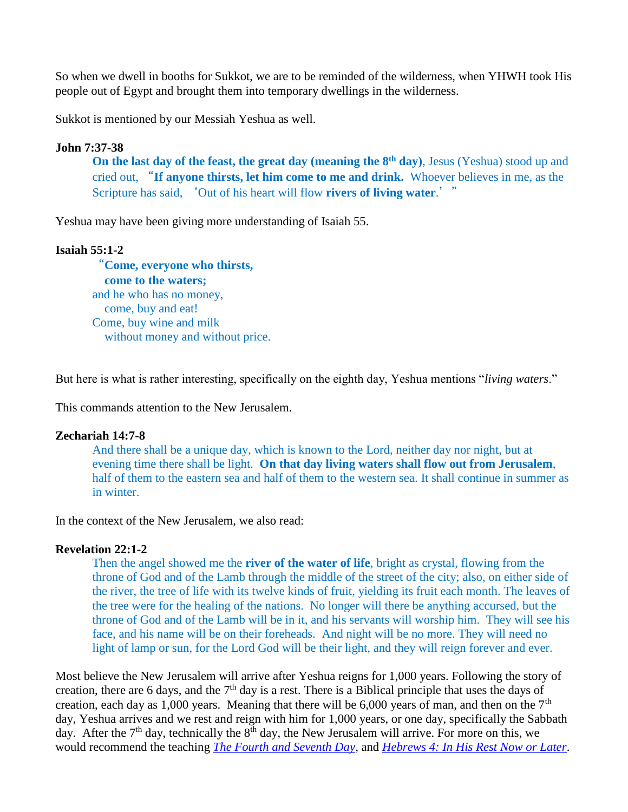So when we dwell in booths for Sukkot, we are to be reminded of the wilderness, when YHWH took His people out of Egypt and brought them into temporary dwellings in the wilderness.

Sukkot is mentioned by our Messiah Yeshua as well.

## **John 7:37-38**

**On the last day of the feast, the great day (meaning the 8th day)**, Jesus (Yeshua) stood up and cried out, "**If anyone thirsts, let him come to me and drink.** Whoever believes in me, as the Scripture has said, 'Out of his heart will flow **rivers of living water**.'"

Yeshua may have been giving more understanding of Isaiah 55.

## **Isaiah 55:1-2**

"**Come, everyone who thirsts, come to the waters;** and he who has no money, come, buy and eat! Come, buy wine and milk without money and without price.

But here is what is rather interesting, specifically on the eighth day, Yeshua mentions "*living waters*."

This commands attention to the New Jerusalem.

#### **Zechariah 14:7-8**

And there shall be a unique day, which is known to the Lord, neither day nor night, but at evening time there shall be light. **On that day living waters shall flow out from Jerusalem**, half of them to the eastern sea and half of them to the western sea. It shall continue in summer as in winter.

In the context of the New Jerusalem, we also read:

### **Revelation 22:1-2**

Then the angel showed me the **river of the water of life**, bright as crystal, flowing from the throne of God and of the Lamb through the middle of the street of the city; also, on either side of the river, the tree of life with its twelve kinds of fruit, yielding its fruit each month. The leaves of the tree were for the healing of the nations. No longer will there be anything accursed, but the throne of God and of the Lamb will be in it, and his servants will worship him. They will see his face, and his name will be on their foreheads. And night will be no more. They will need no light of lamp or sun, for the Lord God will be their light, and they will reign forever and ever.

Most believe the New Jerusalem will arrive after Yeshua reigns for 1,000 years. Following the story of creation, there are 6 days, and the  $7<sup>th</sup>$  day is a rest. There is a Biblical principle that uses the days of creation, each day as 1,000 years. Meaning that there will be 6,000 years of man, and then on the  $7<sup>th</sup>$ day, Yeshua arrives and we rest and reign with him for 1,000 years, or one day, specifically the Sabbath day. After the  $7<sup>th</sup>$  day, technically the  $8<sup>th</sup>$  day, the New Jerusalem will arrive. For more on this, we would recommend the teaching *[The Fourth and Seventh Day](http://119ministries.com/brithadasha2a)*, and *[Hebrews 4: In His Rest Now or Later](http://119ministries.com/hebrews4)*.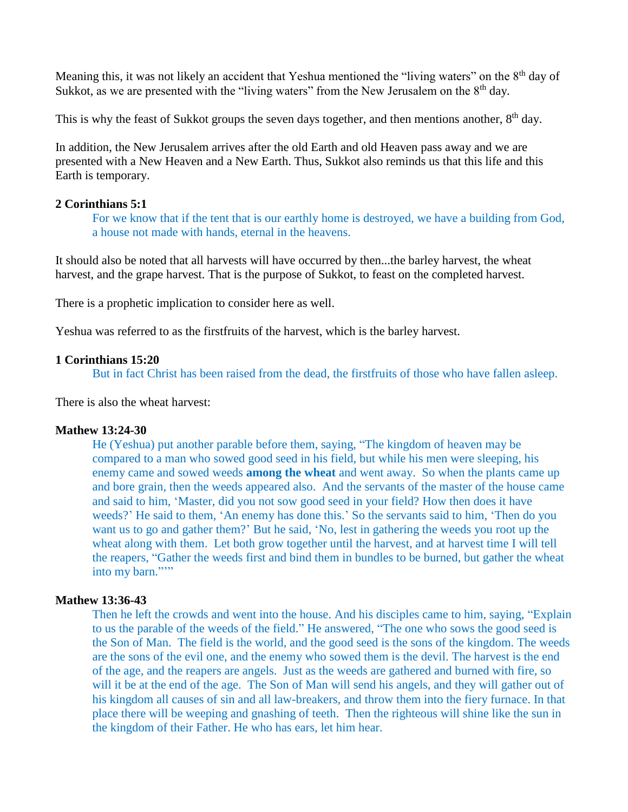Meaning this, it was not likely an accident that Yeshua mentioned the "living waters" on the  $8<sup>th</sup>$  day of Sukkot, as we are presented with the "living waters" from the New Jerusalem on the 8<sup>th</sup> day.

This is why the feast of Sukkot groups the seven days together, and then mentions another, 8<sup>th</sup> day.

In addition, the New Jerusalem arrives after the old Earth and old Heaven pass away and we are presented with a New Heaven and a New Earth. Thus, Sukkot also reminds us that this life and this Earth is temporary.

### **2 Corinthians 5:1**

For we know that if the tent that is our earthly home is destroyed, we have a building from God, a house not made with hands, eternal in the heavens.

It should also be noted that all harvests will have occurred by then...the barley harvest, the wheat harvest, and the grape harvest. That is the purpose of Sukkot, to feast on the completed harvest.

There is a prophetic implication to consider here as well.

Yeshua was referred to as the firstfruits of the harvest, which is the barley harvest.

#### **1 Corinthians 15:20**

But in fact Christ has been raised from the dead, the firstfruits of those who have fallen asleep.

There is also the wheat harvest:

#### **Mathew 13:24-30**

He (Yeshua) put another parable before them, saying, "The kingdom of heaven may be compared to a man who sowed good seed in his field, but while his men were sleeping, his enemy came and sowed weeds **among the wheat** and went away. So when the plants came up and bore grain, then the weeds appeared also. And the servants of the master of the house came and said to him, 'Master, did you not sow good seed in your field? How then does it have weeds?' He said to them, 'An enemy has done this.' So the servants said to him, 'Then do you want us to go and gather them?' But he said, 'No, lest in gathering the weeds you root up the wheat along with them. Let both grow together until the harvest, and at harvest time I will tell the reapers, "Gather the weeds first and bind them in bundles to be burned, but gather the wheat into my barn.""

#### **Mathew 13:36-43**

Then he left the crowds and went into the house. And his disciples came to him, saying, "Explain to us the parable of the weeds of the field." He answered, "The one who sows the good seed is the Son of Man. The field is the world, and the good seed is the sons of the kingdom. The weeds are the sons of the evil one, and the enemy who sowed them is the devil. The harvest is the end of the age, and the reapers are angels. Just as the weeds are gathered and burned with fire, so will it be at the end of the age. The Son of Man will send his angels, and they will gather out of his kingdom all causes of sin and all law-breakers, and throw them into the fiery furnace. In that place there will be weeping and gnashing of teeth. Then the righteous will shine like the sun in the kingdom of their Father. He who has ears, let him hear.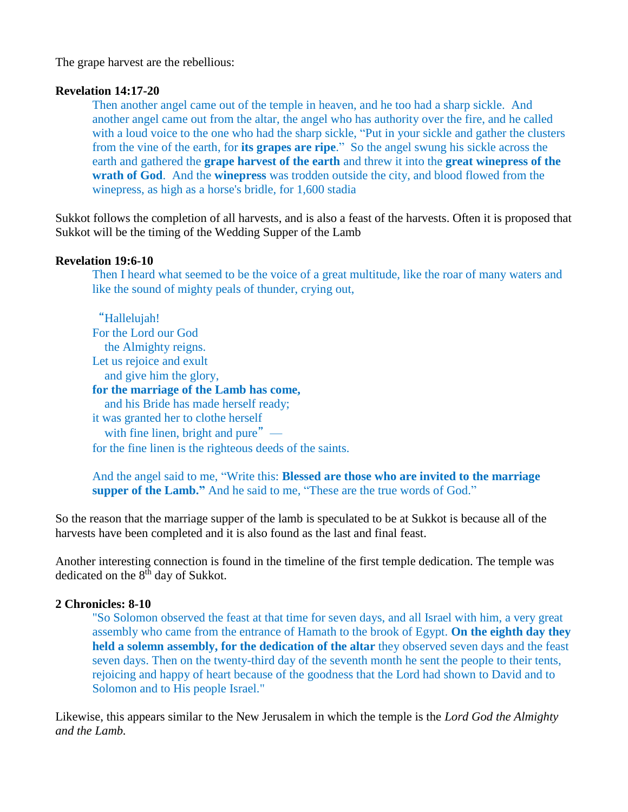The grape harvest are the rebellious:

#### **Revelation 14:17-20**

Then another angel came out of the temple in heaven, and he too had a sharp sickle. And another angel came out from the altar, the angel who has authority over the fire, and he called with a loud voice to the one who had the sharp sickle, "Put in your sickle and gather the clusters" from the vine of the earth, for **its grapes are ripe**." So the angel swung his sickle across the earth and gathered the **grape harvest of the earth** and threw it into the **great winepress of the wrath of God**. And the **winepress** was trodden outside the city, and blood flowed from the winepress, as high as a horse's bridle, for 1,600 stadia

Sukkot follows the completion of all harvests, and is also a feast of the harvests. Often it is proposed that Sukkot will be the timing of the Wedding Supper of the Lamb

#### **Revelation 19:6-10**

Then I heard what seemed to be the voice of a great multitude, like the roar of many waters and like the sound of mighty peals of thunder, crying out,

"Hallelujah! For the Lord our God the Almighty reigns. Let us rejoice and exult and give him the glory, **for the marriage of the Lamb has come,** and his Bride has made herself ready; it was granted her to clothe herself with fine linen, bright and pure" for the fine linen is the righteous deeds of the saints.

And the angel said to me, "Write this: **Blessed are those who are invited to the marriage supper of the Lamb."** And he said to me, "These are the true words of God."

So the reason that the marriage supper of the lamb is speculated to be at Sukkot is because all of the harvests have been completed and it is also found as the last and final feast.

Another interesting connection is found in the timeline of the first temple dedication. The temple was dedicated on the 8<sup>th</sup> day of Sukkot.

## **2 Chronicles: 8-10**

"So Solomon observed the feast at that time for seven days, and all Israel with him, a very great assembly who came from the entrance of Hamath to the brook of Egypt. **On the eighth day they held a solemn assembly, for the dedication of the altar** they observed seven days and the feast seven days. Then on the twenty-third day of the seventh month he sent the people to their tents, rejoicing and happy of heart because of the goodness that the Lord had shown to David and to Solomon and to His people Israel."

Likewise, this appears similar to the New Jerusalem in which the temple is the *Lord God the Almighty and the Lamb.*